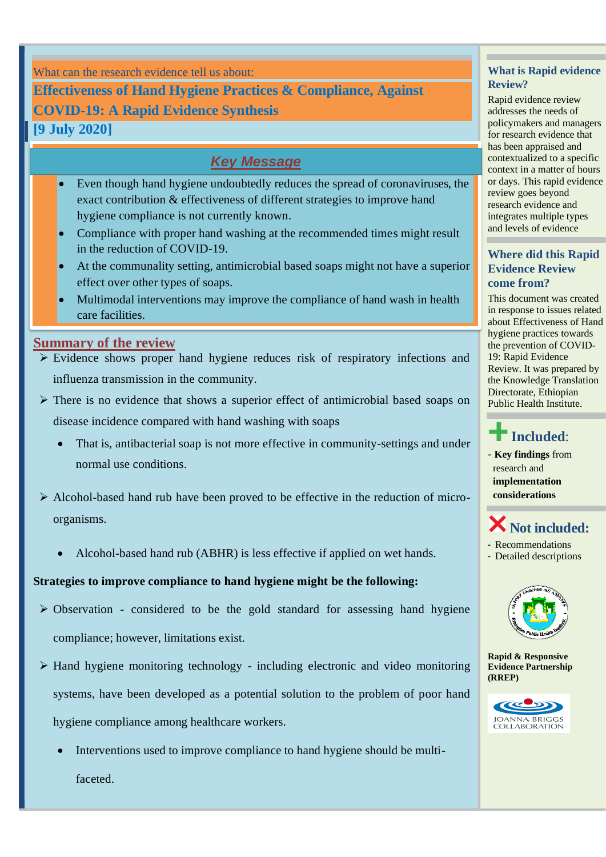What can the research evidence tell us about:

**Effectiveness of Hand Hygiene Practices & Compliance, Against COVID-19: A Rapid Evidence Synthesis**

**[9 July 2020]**

## *Key Message*

- Even though hand hygiene undoubtedly reduces the spread of coronaviruses, the exact contribution & effectiveness of different strategies to improve hand hygiene compliance is not currently known.
- Compliance with proper hand washing at the recommended times might result in the reduction of COVID-19.
- At the communality setting, antimicrobial based soaps might not have a superior effect over other types of soaps.
- Multimodal interventions may improve the compliance of hand wash in health care facilities.

#### **Summary of the review**

- ➢ Evidence shows proper hand hygiene reduces risk of respiratory infections and influenza transmission in the community.
- ➢ There is no evidence that shows a superior effect of antimicrobial based soaps on disease incidence compared with hand washing with soaps
	- That is, [antibacterial soap](https://aem.asm.org/content/74/12/3739) is [not more effective](https://www.ncbi.nlm.nih.gov/pubmed/27061254) in [community-settings](https://www.ncbi.nlm.nih.gov/pubmed/14996673) and under normal use conditions.
- $\triangleright$  Alcohol-based hand rub have been proved to be effective in the reduction of microorganisms.
	- Alcohol-based hand rub (ABHR) is less effective if applied on wet hands.

#### **Strategies to improve compliance to hand hygiene might be the following:**

- ➢ Observation considered to be the gold standard for assessing hand hygiene compliance; however, limitations exist.
- ➢ Hand hygiene monitoring technology including electronic and video monitoring systems, have been developed as a potential solution to the problem of poor hand hygiene compliance among healthcare workers.
	- Interventions used to improve compliance to hand hygiene should be multifaceted.

#### **What is Rapid evidence Review?**

Rapid evidence review addresses the needs of policymakers and managers for research evidence that has been appraised and contextualized to a specific context in a matter of hours or days. This rapid evidence review goes beyond research evidence and integrates multiple types and levels of evidence

#### **Where did this Rapid Evidence Review come from?**

This document was created in response to issues related about Effectiveness of Hand hygiene practices towards the prevention of COVID-19: Rapid Evidence Review. It was prepared by the Knowledge Translation Directorate, Ethiopian Public Health Institute.

# **Included**:

- **Key findings** from research and **implementation considerations**

## **Not included:**

- Recommendations
- Detailed descriptions



**Rapid & Responsive Evidence Partnership (RREP)**

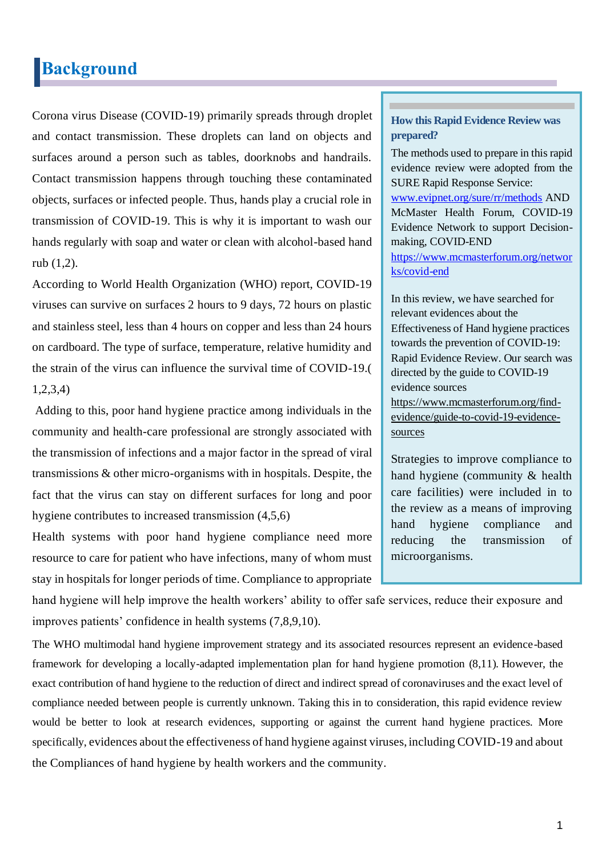## **Background**

Corona virus Disease (COVID-19) primarily spreads through droplet and contact transmission. These droplets can land on objects and surfaces around a person such as tables, doorknobs and handrails. Contact transmission happens through touching these contaminated objects, surfaces or infected people. Thus, hands play a crucial role in transmission of COVID-19. This is why it is important to wash our hands regularly with soap and water or clean with alcohol-based hand rub (1,2).

According to World Health Organization (WHO) report, COVID-19 viruses can survive on surfaces 2 hours to 9 days, 72 hours on plastic and stainless steel, less than 4 hours on copper and less than 24 hours on cardboard. The type of surface, temperature, relative humidity and the strain of the virus can influence the survival time of COVID-19.( 1,2,3,4)

Adding to this, poor hand hygiene practice among individuals in the community and health-care professional are strongly associated with the transmission of infections and a major factor in the spread of viral transmissions & other micro-organisms with in hospitals. Despite, the fact that the virus can stay on different surfaces for long and poor hygiene contributes to increased transmission (4,5,6)

Health systems with poor hand hygiene compliance need more resource to care for patient who have infections, many of whom must stay in hospitals for longer periods of time. Compliance to appropriate

#### **How this Rapid Evidence Review was prepared?**

The methods used to prepare in this rapid evidence review were adopted from the SURE Rapid Response Service:

[www.evipnet.org/sure/rr/methods](http://www.evipnet.org/sure/rr/methods) AND McMaster Health Forum, COVID-19 Evidence Network to support Decisionmaking, COVID-END

[https://www.mcmasterforum.org/networ](https://www.mcmasterforum.org/networks/covid-end) [ks/covid-end](https://www.mcmasterforum.org/networks/covid-end)

In this review, we have searched for relevant evidences about the Effectiveness of Hand hygiene practices towards the prevention of COVID-19: Rapid Evidence Review. Our search was directed by the guide to COVID-19 evidence sources [https://www.mcmasterforum.org/find](https://www.mcmasterforum.org/find-evidence/guide-to-covid-19-evidence-sources)[evidence/guide-to-covid-19-evidence](https://www.mcmasterforum.org/find-evidence/guide-to-covid-19-evidence-sources)[sources](https://www.mcmasterforum.org/find-evidence/guide-to-covid-19-evidence-sources)

Strategies to improve compliance to hand hygiene (community & health care facilities) were included in to the review as a means of improving hand hygiene compliance and reducing the transmission of microorganisms.

hand hygiene will help improve the health workers' ability to offer safe services, reduce their exposure and improves patients' confidence in health systems (7,8,9,10).

The WHO multimodal hand hygiene improvement strategy and its associated resources represent an evidence-based framework for developing a locally-adapted implementation plan for hand hygiene promotion (8,11). However, the exact contribution of hand hygiene to the reduction of direct and indirect spread of coronaviruses and the exact level of compliance needed between people is currently unknown. Taking this in to consideration, this rapid evidence review would be better to look at research evidences, supporting or against the current hand hygiene practices. More specifically, evidences about the effectiveness of hand hygiene against viruses, including COVID-19 and about the Compliances of hand hygiene by health workers and the community.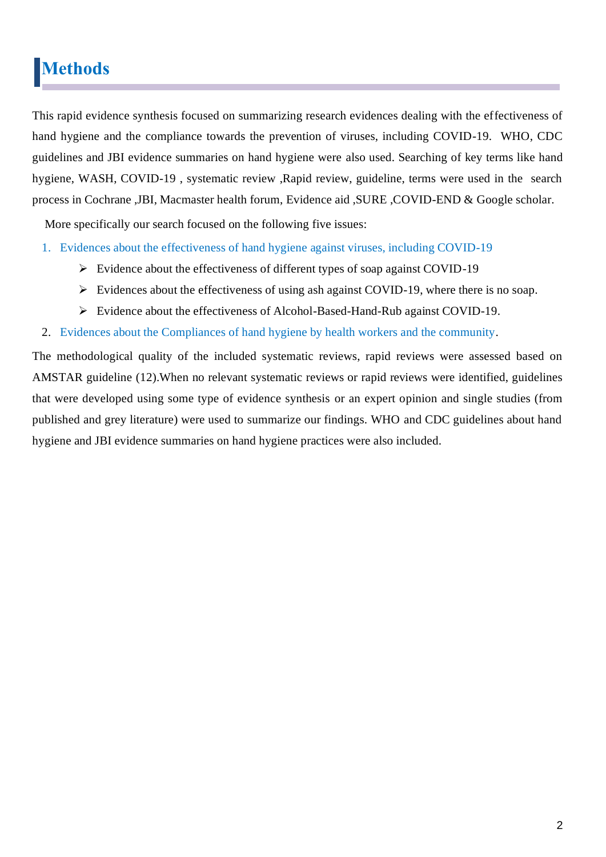# **Methods**

This rapid evidence synthesis focused on summarizing research evidences dealing with the effectiveness of hand hygiene and the compliance towards the prevention of viruses, including COVID-19. WHO, CDC guidelines and JBI evidence summaries on hand hygiene were also used. Searching of key terms like hand hygiene, WASH, COVID-19, systematic review, Rapid review, guideline, terms were used in the search process in Cochrane ,JBI, Macmaster health forum, Evidence aid ,SURE ,COVID-END & Google scholar.

More specifically our search focused on the following five issues:

- 1. Evidences about the effectiveness of hand hygiene against viruses, including COVID-19
	- ➢ Evidence about the effectiveness of different types of soap against COVID-19
	- ➢ Evidences about the effectiveness of using ash against COVID-19, where there is no soap.
	- ➢ Evidence about the effectiveness of Alcohol-Based-Hand-Rub against COVID-19.
- 2. Evidences about the Compliances of hand hygiene by health workers and the community.

The methodological quality of the included systematic reviews, rapid reviews were assessed based on AMSTAR guideline (12).When no relevant systematic reviews or rapid reviews were identified, guidelines that were developed using some type of evidence synthesis or an expert opinion and single studies (from published and grey literature) were used to summarize our findings. WHO and CDC guidelines about hand hygiene and JBI evidence summaries on hand hygiene practices were also included.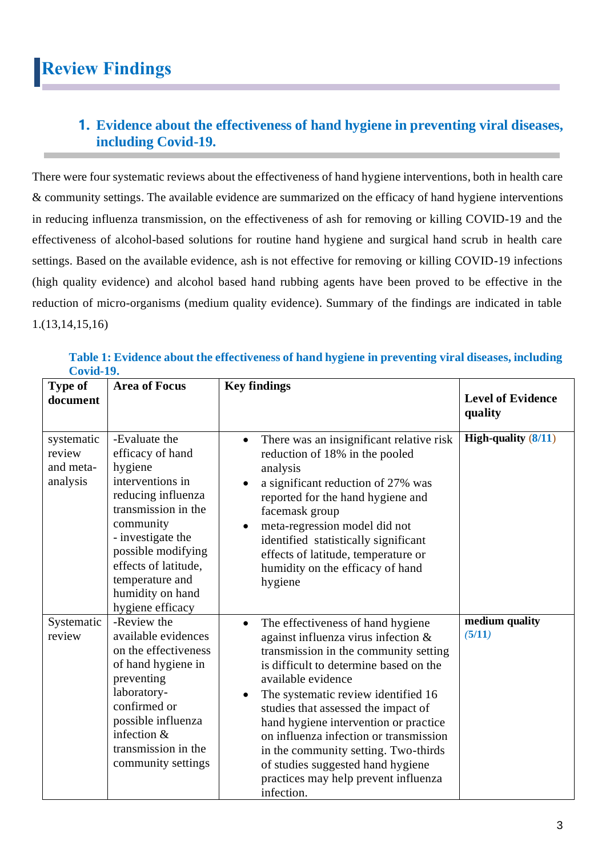## **1. Evidence about the effectiveness of hand hygiene in preventing viral diseases, including Covid-19.**

There were four systematic reviews about the effectiveness of hand hygiene interventions, both in health care & community settings. The available evidence are summarized on the efficacy of hand hygiene interventions in reducing influenza transmission, on the effectiveness of ash for removing or killing COVID-19 and the effectiveness of alcohol-based solutions for routine hand hygiene and surgical hand scrub in health care settings. Based on the available evidence, ash is not effective for removing or killing COVID-19 infections (high quality evidence) and alcohol based hand rubbing agents have been proved to be effective in the reduction of micro-organisms (medium quality evidence). Summary of the findings are indicated in table 1.(13,14,15,16)

| <b>Type of</b><br>document                    | <b>Area of Focus</b>                                                                                                                                                                                                                                     | <b>Key findings</b>                                                                                                                                                                                                                                                                                                                                                                                                                                                                                     | <b>Level of Evidence</b><br>quality |
|-----------------------------------------------|----------------------------------------------------------------------------------------------------------------------------------------------------------------------------------------------------------------------------------------------------------|---------------------------------------------------------------------------------------------------------------------------------------------------------------------------------------------------------------------------------------------------------------------------------------------------------------------------------------------------------------------------------------------------------------------------------------------------------------------------------------------------------|-------------------------------------|
| systematic<br>review<br>and meta-<br>analysis | -Evaluate the<br>efficacy of hand<br>hygiene<br>interventions in<br>reducing influenza<br>transmission in the<br>community<br>- investigate the<br>possible modifying<br>effects of latitude,<br>temperature and<br>humidity on hand<br>hygiene efficacy | There was an insignificant relative risk<br>$\bullet$<br>reduction of 18% in the pooled<br>analysis<br>a significant reduction of 27% was<br>$\bullet$<br>reported for the hand hygiene and<br>facemask group<br>meta-regression model did not<br>$\bullet$<br>identified statistically significant<br>effects of latitude, temperature or<br>humidity on the efficacy of hand<br>hygiene                                                                                                               | High-quality $(8/11)$               |
| Systematic<br>review                          | -Review the<br>available evidences<br>on the effectiveness<br>of hand hygiene in<br>preventing<br>laboratory-<br>confirmed or<br>possible influenza<br>infection $&$<br>transmission in the<br>community settings                                        | The effectiveness of hand hygiene<br>$\bullet$<br>against influenza virus infection &<br>transmission in the community setting<br>is difficult to determine based on the<br>available evidence<br>The systematic review identified 16<br>٠<br>studies that assessed the impact of<br>hand hygiene intervention or practice<br>on influenza infection or transmission<br>in the community setting. Two-thirds<br>of studies suggested hand hygiene<br>practices may help prevent influenza<br>infection. | medium quality<br>(5/11)            |

#### **Table 1: Evidence about the effectiveness of hand hygiene in preventing viral diseases, including Covid-19.**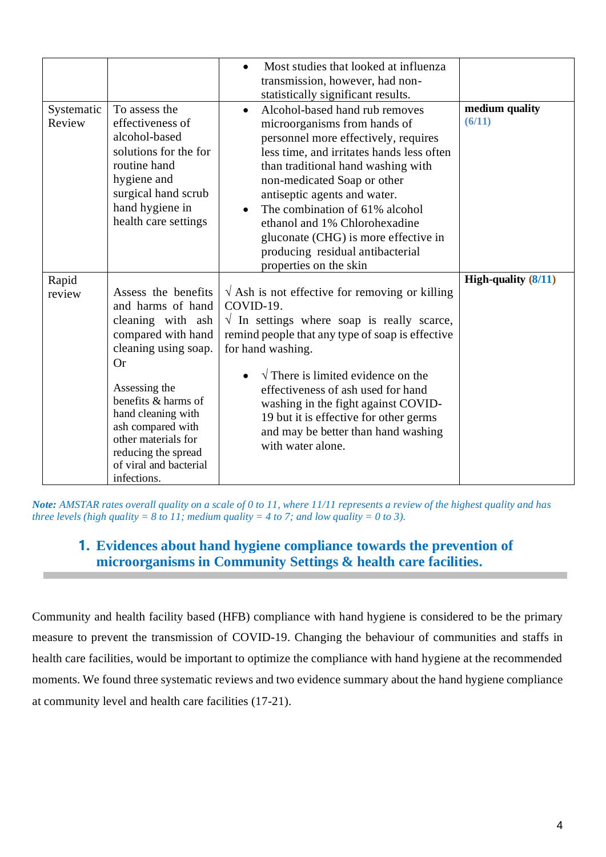|                      |                                                                                                                                                                                                                                                                                                    | Most studies that looked at influenza<br>transmission, however, had non-<br>statistically significant results.                                                                                                                                                                                                                                                                                                                                 |                          |
|----------------------|----------------------------------------------------------------------------------------------------------------------------------------------------------------------------------------------------------------------------------------------------------------------------------------------------|------------------------------------------------------------------------------------------------------------------------------------------------------------------------------------------------------------------------------------------------------------------------------------------------------------------------------------------------------------------------------------------------------------------------------------------------|--------------------------|
| Systematic<br>Review | To assess the<br>effectiveness of<br>alcohol-based<br>solutions for the for<br>routine hand<br>hygiene and<br>surgical hand scrub<br>hand hygiene in<br>health care settings                                                                                                                       | Alcohol-based hand rub removes<br>$\bullet$<br>microorganisms from hands of<br>personnel more effectively, requires<br>less time, and irritates hands less often<br>than traditional hand washing with<br>non-medicated Soap or other<br>antiseptic agents and water.<br>The combination of 61% alcohol<br>ethanol and 1% Chlorohexadine<br>gluconate (CHG) is more effective in<br>producing residual antibacterial<br>properties on the skin | medium quality<br>(6/11) |
| Rapid<br>review      | Assess the benefits<br>and harms of hand<br>cleaning with ash<br>compared with hand<br>cleaning using soap.<br><b>Or</b><br>Assessing the<br>benefits & harms of<br>hand cleaning with<br>ash compared with<br>other materials for<br>reducing the spread<br>of viral and bacterial<br>infections. | $\sqrt{x}$ Ash is not effective for removing or killing<br>COVID-19.<br>$\sqrt{ }$ In settings where soap is really scarce,<br>remind people that any type of soap is effective<br>for hand washing.<br>$\sqrt{\ }$ There is limited evidence on the<br>effectiveness of ash used for hand<br>washing in the fight against COVID-<br>19 but it is effective for other germs<br>and may be better than hand washing<br>with water alone.        | High-quality $(8/11)$    |

*Note: AMSTAR rates overall quality on a scale of 0 to 11, where 11/11 represents a review of the highest quality and has three levels (high quality = 8 to 11; medium quality = 4 to 7; and low quality = 0 to 3).* 

### **1. Evidences about hand hygiene compliance towards the prevention of microorganisms in Community Settings & health care facilities.**

Community and health facility based (HFB) compliance with hand hygiene is considered to be the primary measure to prevent the transmission of COVID-19. Changing the behaviour of communities and staffs in health care facilities, would be important to optimize the compliance with hand hygiene at the recommended moments. We found three systematic reviews and two evidence summary about the hand hygiene compliance at community level and health care facilities (17-21).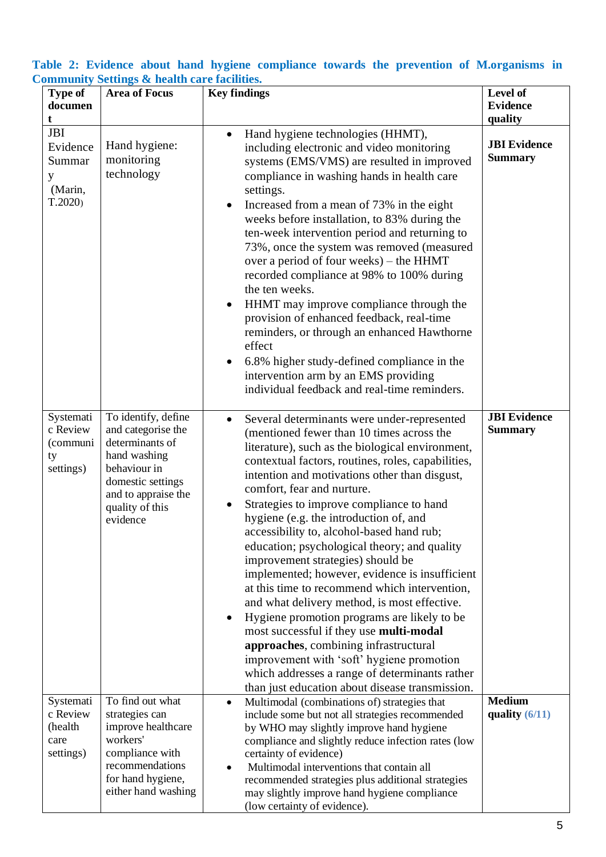#### **Table 2: Evidence about hand hygiene compliance towards the prevention of M.organisms in Community Settings & health care facilities.**

|                                                            | minumly bettings <b>a</b> health care racinties.                                                                                                                        |                                                                                                                                                                                                                                                                                                                                                                                                                                                                                                                                                                                                                                                                                                                                                                                                                                                                                                                                                                             |                                        |
|------------------------------------------------------------|-------------------------------------------------------------------------------------------------------------------------------------------------------------------------|-----------------------------------------------------------------------------------------------------------------------------------------------------------------------------------------------------------------------------------------------------------------------------------------------------------------------------------------------------------------------------------------------------------------------------------------------------------------------------------------------------------------------------------------------------------------------------------------------------------------------------------------------------------------------------------------------------------------------------------------------------------------------------------------------------------------------------------------------------------------------------------------------------------------------------------------------------------------------------|----------------------------------------|
| <b>Type of</b><br>documen<br>t                             | <b>Area of Focus</b>                                                                                                                                                    | <b>Key findings</b>                                                                                                                                                                                                                                                                                                                                                                                                                                                                                                                                                                                                                                                                                                                                                                                                                                                                                                                                                         | Level of<br><b>Evidence</b><br>quality |
| <b>JBI</b><br>Evidence<br>Summar<br>y<br>(Marin,<br>T.2020 | Hand hygiene:<br>monitoring<br>technology                                                                                                                               | Hand hygiene technologies (HHMT),<br>$\bullet$<br>including electronic and video monitoring<br>systems (EMS/VMS) are resulted in improved<br>compliance in washing hands in health care<br>settings.<br>Increased from a mean of 73% in the eight<br>$\bullet$<br>weeks before installation, to 83% during the<br>ten-week intervention period and returning to<br>73%, once the system was removed (measured<br>over a period of four weeks) - the HHMT<br>recorded compliance at 98% to 100% during<br>the ten weeks.<br>HHMT may improve compliance through the<br>$\bullet$<br>provision of enhanced feedback, real-time<br>reminders, or through an enhanced Hawthorne<br>effect<br>6.8% higher study-defined compliance in the<br>intervention arm by an EMS providing<br>individual feedback and real-time reminders.                                                                                                                                                | <b>JBI</b> Evidence<br><b>Summary</b>  |
| Systemati<br>c Review<br>(communi<br>ty<br>settings)       | To identify, define<br>and categorise the<br>determinants of<br>hand washing<br>behaviour in<br>domestic settings<br>and to appraise the<br>quality of this<br>evidence | Several determinants were under-represented<br>$\bullet$<br>(mentioned fewer than 10 times across the<br>literature), such as the biological environment,<br>contextual factors, routines, roles, capabilities,<br>intention and motivations other than disgust,<br>comfort, fear and nurture.<br>Strategies to improve compliance to hand<br>$\bullet$<br>hygiene (e.g. the introduction of, and<br>accessibility to, alcohol-based hand rub;<br>education; psychological theory; and quality<br>improvement strategies) should be<br>implemented; however, evidence is insufficient<br>at this time to recommend which intervention,<br>and what delivery method, is most effective.<br>Hygiene promotion programs are likely to be<br>most successful if they use multi-modal<br>approaches, combining infrastructural<br>improvement with 'soft' hygiene promotion<br>which addresses a range of determinants rather<br>than just education about disease transmission. | <b>JBI</b> Evidence<br><b>Summary</b>  |
| Systemati<br>c Review<br>(health<br>care<br>settings)      | To find out what<br>strategies can<br>improve healthcare<br>workers'<br>compliance with<br>recommendations<br>for hand hygiene,<br>either hand washing                  | Multimodal (combinations of) strategies that<br>$\bullet$<br>include some but not all strategies recommended<br>by WHO may slightly improve hand hygiene<br>compliance and slightly reduce infection rates (low<br>certainty of evidence)<br>Multimodal interventions that contain all<br>recommended strategies plus additional strategies<br>may slightly improve hand hygiene compliance<br>(low certainty of evidence).                                                                                                                                                                                                                                                                                                                                                                                                                                                                                                                                                 | <b>Medium</b><br>quality $(6/11)$      |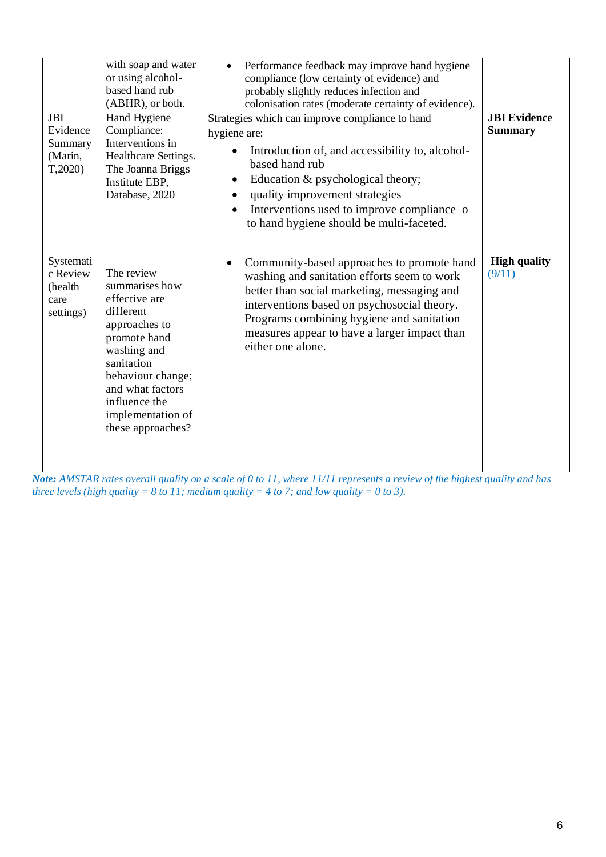| <b>JBI</b><br>Evidence<br>Summary<br>(Marin,<br>T,2020 | with soap and water<br>or using alcohol-<br>based hand rub<br>(ABHR), or both.<br>Hand Hygiene<br>Compliance:<br>Interventions in<br>Healthcare Settings.<br>The Joanna Briggs<br>Institute EBP,<br>Database, 2020           | Performance feedback may improve hand hygiene<br>$\bullet$<br>compliance (low certainty of evidence) and<br>probably slightly reduces infection and<br>colonisation rates (moderate certainty of evidence).<br>Strategies which can improve compliance to hand<br>hygiene are:<br>Introduction of, and accessibility to, alcohol-<br>based hand rub<br>Education & psychological theory;<br>$\bullet$<br>quality improvement strategies<br>Interventions used to improve compliance of<br>$\bullet$<br>to hand hygiene should be multi-faceted. | <b>JBI</b> Evidence<br><b>Summary</b> |
|--------------------------------------------------------|------------------------------------------------------------------------------------------------------------------------------------------------------------------------------------------------------------------------------|-------------------------------------------------------------------------------------------------------------------------------------------------------------------------------------------------------------------------------------------------------------------------------------------------------------------------------------------------------------------------------------------------------------------------------------------------------------------------------------------------------------------------------------------------|---------------------------------------|
| Systemati<br>c Review<br>(health<br>care<br>settings)  | The review<br>summarises how<br>effective are<br>different<br>approaches to<br>promote hand<br>washing and<br>sanitation<br>behaviour change;<br>and what factors<br>influence the<br>implementation of<br>these approaches? | Community-based approaches to promote hand<br>$\bullet$<br>washing and sanitation efforts seem to work<br>better than social marketing, messaging and<br>interventions based on psychosocial theory.<br>Programs combining hygiene and sanitation<br>measures appear to have a larger impact than<br>either one alone.                                                                                                                                                                                                                          | <b>High quality</b><br>(9/11)         |

*Note: AMSTAR rates overall quality on a scale of 0 to 11, where 11/11 represents a review of the highest quality and has three levels (high quality = 8 to 11; medium quality = 4 to 7; and low quality = 0 to 3).*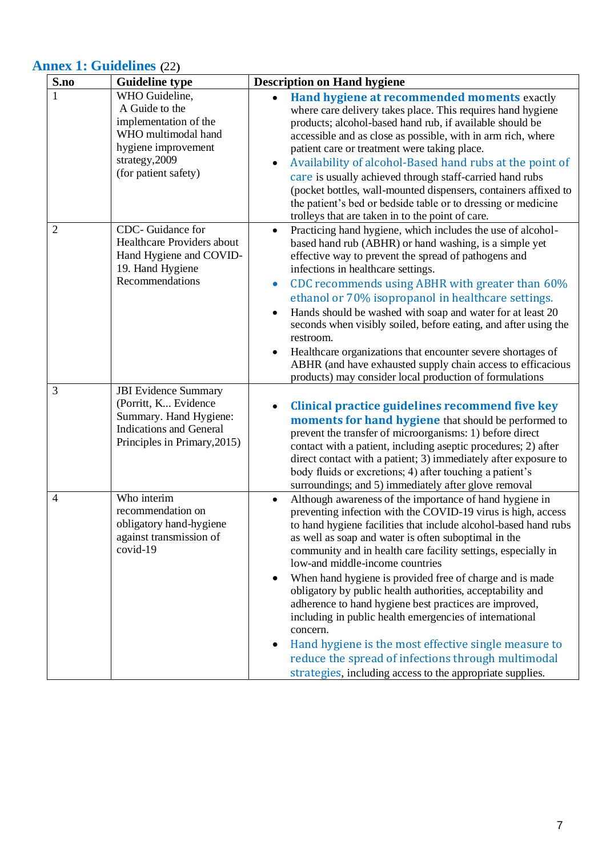## **Annex 1: Guidelines (**22**)**

| S.no           | <b>Guideline type</b>                                                                                                                             | <b>Description on Hand hygiene</b>                                                                                                                                                                                                                                                                                                                                                                                                                                                                                                                                                                                                                                                                                                                                                                                  |
|----------------|---------------------------------------------------------------------------------------------------------------------------------------------------|---------------------------------------------------------------------------------------------------------------------------------------------------------------------------------------------------------------------------------------------------------------------------------------------------------------------------------------------------------------------------------------------------------------------------------------------------------------------------------------------------------------------------------------------------------------------------------------------------------------------------------------------------------------------------------------------------------------------------------------------------------------------------------------------------------------------|
| 1              | WHO Guideline,<br>A Guide to the<br>implementation of the<br>WHO multimodal hand<br>hygiene improvement<br>strategy, 2009<br>(for patient safety) | Hand hygiene at recommended moments exactly<br>$\bullet$<br>where care delivery takes place. This requires hand hygiene<br>products; alcohol-based hand rub, if available should be<br>accessible and as close as possible, with in arm rich, where<br>patient care or treatment were taking place.<br>Availability of alcohol-Based hand rubs at the point of<br>٠<br>care is usually achieved through staff-carried hand rubs<br>(pocket bottles, wall-mounted dispensers, containers affixed to<br>the patient's bed or bedside table or to dressing or medicine<br>trolleys that are taken in to the point of care.                                                                                                                                                                                             |
| $\overline{2}$ | CDC- Guidance for<br>Healthcare Providers about<br>Hand Hygiene and COVID-<br>19. Hand Hygiene<br>Recommendations                                 | Practicing hand hygiene, which includes the use of alcohol-<br>٠<br>based hand rub (ABHR) or hand washing, is a simple yet<br>effective way to prevent the spread of pathogens and<br>infections in healthcare settings.<br>CDC recommends using ABHR with greater than 60%<br>$\bullet$<br>ethanol or 70% isopropanol in healthcare settings.<br>Hands should be washed with soap and water for at least 20<br>$\bullet$<br>seconds when visibly soiled, before eating, and after using the<br>restroom.<br>Healthcare organizations that encounter severe shortages of<br>$\bullet$<br>ABHR (and have exhausted supply chain access to efficacious<br>products) may consider local production of formulations                                                                                                     |
| 3              | <b>JBI</b> Evidence Summary<br>(Porritt, K Evidence<br>Summary. Hand Hygiene:<br><b>Indications and General</b><br>Principles in Primary, 2015)   | Clinical practice guidelines recommend five key<br><b>moments for hand hygiene</b> that should be performed to<br>prevent the transfer of microorganisms: 1) before direct<br>contact with a patient, including aseptic procedures; 2) after<br>direct contact with a patient; 3) immediately after exposure to<br>body fluids or excretions; 4) after touching a patient's<br>surroundings; and 5) immediately after glove removal                                                                                                                                                                                                                                                                                                                                                                                 |
| $\overline{4}$ | Who interim<br>recommendation on<br>obligatory hand-hygiene<br>against transmission of<br>covid-19                                                | Although awareness of the importance of hand hygiene in<br>$\bullet$<br>preventing infection with the COVID-19 virus is high, access<br>to hand hygiene facilities that include alcohol-based hand rubs<br>as well as soap and water is often suboptimal in the<br>community and in health care facility settings, especially in<br>low-and middle-income countries<br>When hand hygiene is provided free of charge and is made<br>٠<br>obligatory by public health authorities, acceptability and<br>adherence to hand hygiene best practices are improved,<br>including in public health emergencies of international<br>concern.<br>Hand hygiene is the most effective single measure to<br>٠<br>reduce the spread of infections through multimodal<br>strategies, including access to the appropriate supplies. |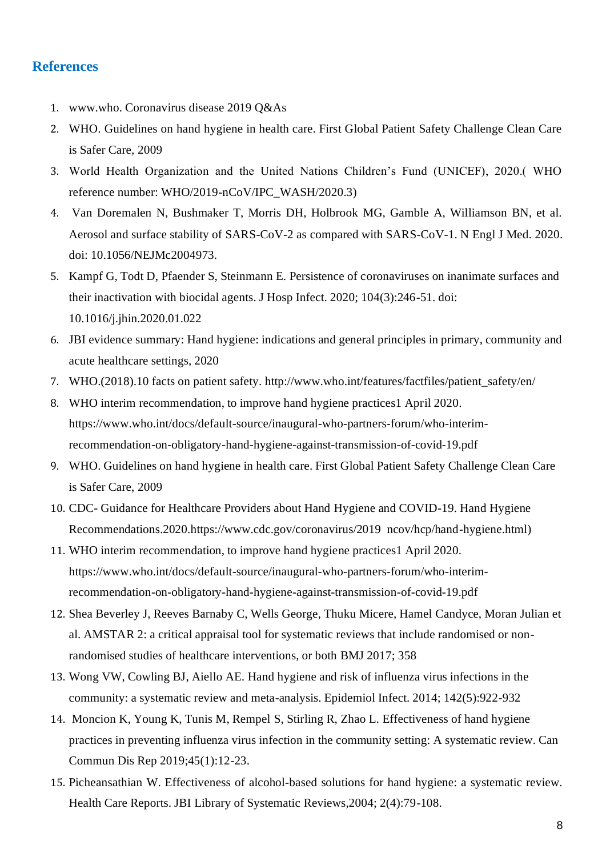#### **References**

- 1. www.who. Coronavirus disease 2019 Q&As
- 2. WHO. Guidelines on hand hygiene in health care. First Global Patient Safety Challenge Clean Care is Safer Care, 2009
- 3. World Health Organization and the United Nations Children's Fund (UNICEF), 2020.( WHO reference number: WHO/2019-nCoV/IPC\_WASH/2020.3)
- 4. Van Doremalen N, Bushmaker T, Morris DH, Holbrook MG, Gamble A, Williamson BN, et al. Aerosol and surface stability of SARS-CoV-2 as compared with SARS-CoV-1. N Engl J Med. 2020. doi: 10.1056/NEJMc2004973.
- 5. Kampf G, Todt D, Pfaender S, Steinmann E. Persistence of coronaviruses on inanimate surfaces and their inactivation with biocidal agents. J Hosp Infect. 2020; 104(3):246-51. doi: 10.1016/j.jhin.2020.01.022
- 6. JBI evidence summary: Hand hygiene: indications and general principles in primary, community and acute healthcare settings, 2020
- 7. WHO.(2018).10 facts on patient safety. [http://www.who.int/features/factfiles/patient\\_safety/en/](http://www.who.int/features/factfiles/patient_safety/en/)
- 8. WHO interim recommendation, to improve hand hygiene practices1 April 2020. [https://www.who.int/docs/default-source/inaugural-who-partners-forum/who-interim](https://www.who.int/docs/default-source/inaugural-who-partners-forum/who-interim-recommendation-on-obligatory-hand-hygiene-against-transmission-of-covid-19.pdf)[recommendation-on-obligatory-hand-hygiene-against-transmission-of-covid-19.pdf](https://www.who.int/docs/default-source/inaugural-who-partners-forum/who-interim-recommendation-on-obligatory-hand-hygiene-against-transmission-of-covid-19.pdf)
- 9. WHO. Guidelines on hand hygiene in health care. First Global Patient Safety Challenge Clean Care is Safer Care, 2009
- 10. CDC- Guidance for Healthcare Providers about Hand Hygiene and COVID-19. Hand Hygiene Recommendations.2020[.https://www.cdc.gov/coronavirus/2019 ncov/hcp/hand-hygiene.html\)](https://www.cdc.gov/coronavirus/2019%20%20ncov/hcp/hand-hygiene.html)
- 11. WHO interim recommendation, to improve hand hygiene practices1 April 2020. [https://www.who.int/docs/default-source/inaugural-who-partners-forum/who-interim](https://www.who.int/docs/default-source/inaugural-who-partners-forum/who-interim-recommendation-on-obligatory-hand-hygiene-against-transmission-of-covid-19.pdf)[recommendation-on-obligatory-hand-hygiene-against-transmission-of-covid-19.pdf](https://www.who.int/docs/default-source/inaugural-who-partners-forum/who-interim-recommendation-on-obligatory-hand-hygiene-against-transmission-of-covid-19.pdf)
- 12. Shea Beverley J, Reeves Barnaby C, Wells George, Thuku Micere, Hamel Candyce, Moran Julian et al. AMSTAR 2: a critical appraisal tool for systematic reviews that include randomised or nonrandomised studies of healthcare interventions, or both BMJ 2017; 358
- 13. Wong VW, Cowling BJ, Aiello AE. Hand hygiene and risk of influenza virus infections in the community: a systematic review and meta-analysis. Epidemiol Infect. 2014; 142(5):922-932
- 14. Moncion K, Young K, Tunis M, Rempel S, Stirling R, Zhao L. Effectiveness of hand hygiene practices in preventing influenza virus infection in the community setting: A systematic review. Can Commun Dis Rep 2019;45(1):12-23.
- 15. Picheansathian W. Effectiveness of alcohol-based solutions for hand hygiene: a systematic review. Health Care Reports. JBI Library of Systematic Reviews,2004; 2(4):79-108.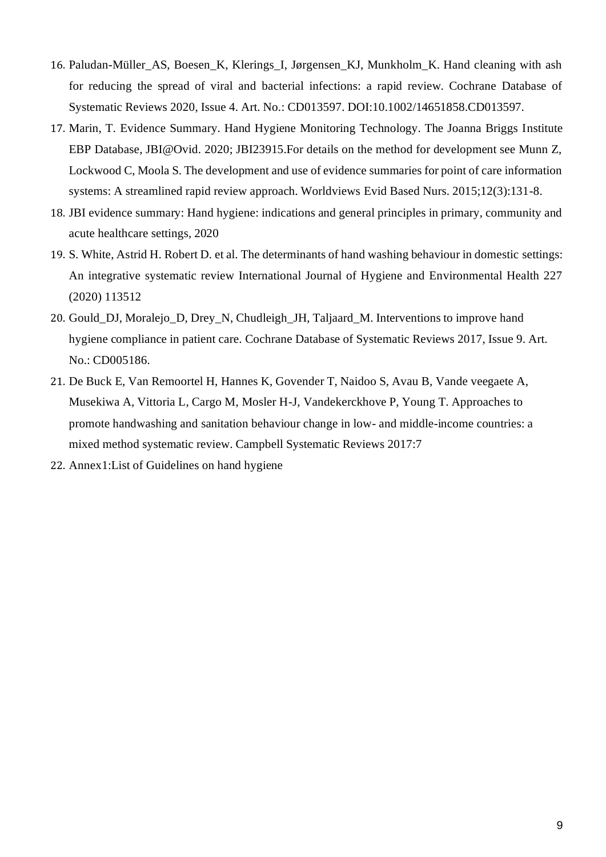- 16. Paludan-Müller\_AS, Boesen\_K, Klerings\_I, Jørgensen\_KJ, Munkholm\_K. Hand cleaning with ash for reducing the spread of viral and bacterial infections: a rapid review. Cochrane Database of Systematic Reviews 2020, Issue 4. Art. No.: CD013597. DOI:10.1002/14651858.CD013597.
- 17. Marin, T. Evidence Summary. Hand Hygiene Monitoring Technology. The Joanna Briggs Institute EBP Database, JBI@Ovid. 2020; JBI23915.For details on the method for development see Munn Z, Lockwood C, Moola S. The development and use of evidence summaries for point of care information systems: A streamlined rapid review approach. Worldviews Evid Based Nurs. 2015;12(3):131-8.
- 18. JBI evidence summary: Hand hygiene: indications and general principles in primary, community and acute healthcare settings, 2020
- 19. S. White, Astrid H. Robert D. et al. The determinants of hand washing behaviour in domestic settings: An integrative systematic review International Journal of Hygiene and Environmental Health 227 (2020) 113512
- 20. Gould\_DJ, Moralejo\_D, Drey\_N, Chudleigh\_JH, Taljaard\_M. Interventions to improve hand hygiene compliance in patient care. Cochrane Database of Systematic Reviews 2017, Issue 9. Art. No.: CD005186.
- 21. De Buck E, Van Remoortel H, Hannes K, Govender T, Naidoo S, Avau B, Vande veegaete A, Musekiwa A, Vittoria L, Cargo M, Mosler H-J, Vandekerckhove P, Young T. Approaches to promote handwashing and sanitation behaviour change in low- and middle-income countries: a mixed method systematic review. Campbell Systematic Reviews 2017:7
- 22. Annex1:List of Guidelines on hand hygiene